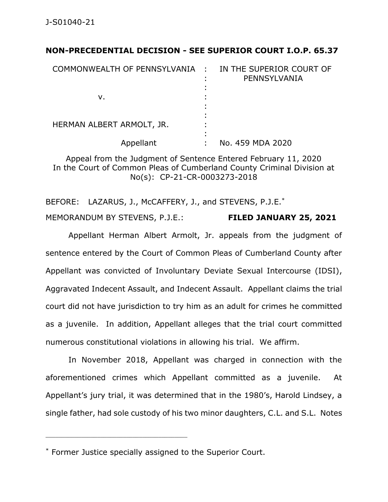## **NON-PRECEDENTIAL DECISION - SEE SUPERIOR COURT I.O.P. 65.37**

| COMMONWEALTH OF PENNSYLVANIA : | IN THE SUPERIOR COURT OF<br>PENNSYLVANIA |
|--------------------------------|------------------------------------------|
| v.                             |                                          |
| HERMAN ALBERT ARMOLT, JR.      |                                          |
| Appellant                      | No. 459 MDA 2020                         |

Appeal from the Judgment of Sentence Entered February 11, 2020 In the Court of Common Pleas of Cumberland County Criminal Division at No(s): CP-21-CR-0003273-2018

BEFORE: LAZARUS, J., McCAFFERY, J., and STEVENS, P.J.E.<sup>\*</sup>

MEMORANDUM BY STEVENS, P.J.E.: **FILED JANUARY 25, 2021**

Appellant Herman Albert Armolt, Jr. appeals from the judgment of sentence entered by the Court of Common Pleas of Cumberland County after Appellant was convicted of Involuntary Deviate Sexual Intercourse (IDSI), Aggravated Indecent Assault, and Indecent Assault. Appellant claims the trial court did not have jurisdiction to try him as an adult for crimes he committed as a juvenile. In addition, Appellant alleges that the trial court committed numerous constitutional violations in allowing his trial. We affirm.

In November 2018, Appellant was charged in connection with the aforementioned crimes which Appellant committed as a juvenile. At Appellant's jury trial, it was determined that in the 1980's, Harold Lindsey, a single father, had sole custody of his two minor daughters, C.L. and S.L. Notes

<sup>\*</sup> Former Justice specially assigned to the Superior Court.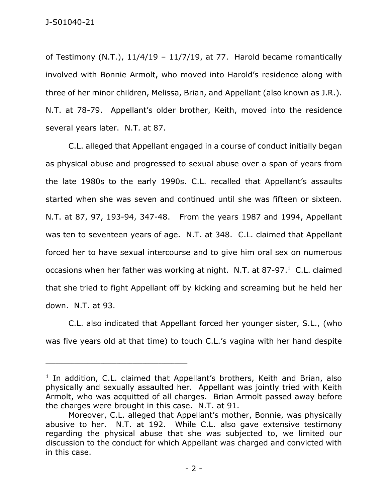of Testimony (N.T.),  $11/4/19 - 11/7/19$ , at 77. Harold became romantically involved with Bonnie Armolt, who moved into Harold's residence along with three of her minor children, Melissa, Brian, and Appellant (also known as J.R.). N.T. at 78-79. Appellant's older brother, Keith, moved into the residence several years later. N.T. at 87.

C.L. alleged that Appellant engaged in a course of conduct initially began as physical abuse and progressed to sexual abuse over a span of years from the late 1980s to the early 1990s. C.L. recalled that Appellant's assaults started when she was seven and continued until she was fifteen or sixteen. N.T. at 87, 97, 193-94, 347-48. From the years 1987 and 1994, Appellant was ten to seventeen years of age. N.T. at 348. C.L. claimed that Appellant forced her to have sexual intercourse and to give him oral sex on numerous occasions when her father was working at night. N.T. at 87-97. $<sup>1</sup>$  C.L. claimed</sup> that she tried to fight Appellant off by kicking and screaming but he held her down. N.T. at 93.

C.L. also indicated that Appellant forced her younger sister, S.L., (who was five years old at that time) to touch C.L.'s vagina with her hand despite

<sup>&</sup>lt;sup>1</sup> In addition, C.L. claimed that Appellant's brothers, Keith and Brian, also physically and sexually assaulted her. Appellant was jointly tried with Keith Armolt, who was acquitted of all charges. Brian Armolt passed away before the charges were brought in this case. N.T. at 91.

Moreover, C.L. alleged that Appellant's mother, Bonnie, was physically abusive to her. N.T. at 192. While C.L. also gave extensive testimony regarding the physical abuse that she was subjected to, we limited our discussion to the conduct for which Appellant was charged and convicted with in this case.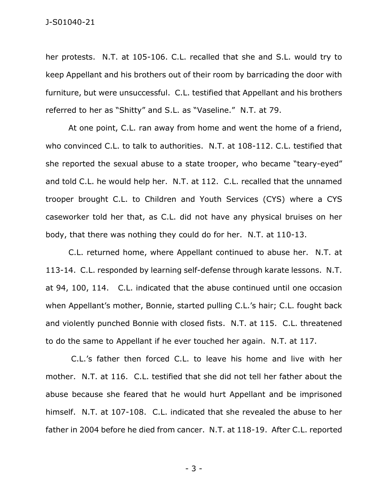her protests. N.T. at 105-106. C.L. recalled that she and S.L. would try to keep Appellant and his brothers out of their room by barricading the door with furniture, but were unsuccessful. C.L. testified that Appellant and his brothers referred to her as "Shitty" and S.L. as "Vaseline." N.T. at 79.

At one point, C.L. ran away from home and went the home of a friend, who convinced C.L. to talk to authorities. N.T. at 108-112. C.L. testified that she reported the sexual abuse to a state trooper, who became "teary-eyed" and told C.L. he would help her. N.T. at 112. C.L. recalled that the unnamed trooper brought C.L. to Children and Youth Services (CYS) where a CYS caseworker told her that, as C.L. did not have any physical bruises on her body, that there was nothing they could do for her. N.T. at 110-13.

C.L. returned home, where Appellant continued to abuse her. N.T. at 113-14. C.L. responded by learning self-defense through karate lessons. N.T. at 94, 100, 114. C.L. indicated that the abuse continued until one occasion when Appellant's mother, Bonnie, started pulling C.L.'s hair; C.L. fought back and violently punched Bonnie with closed fists. N.T. at 115. C.L. threatened to do the same to Appellant if he ever touched her again. N.T. at 117.

C.L.'s father then forced C.L. to leave his home and live with her mother. N.T. at 116. C.L. testified that she did not tell her father about the abuse because she feared that he would hurt Appellant and be imprisoned himself. N.T. at 107-108. C.L. indicated that she revealed the abuse to her father in 2004 before he died from cancer. N.T. at 118-19. After C.L. reported

- 3 -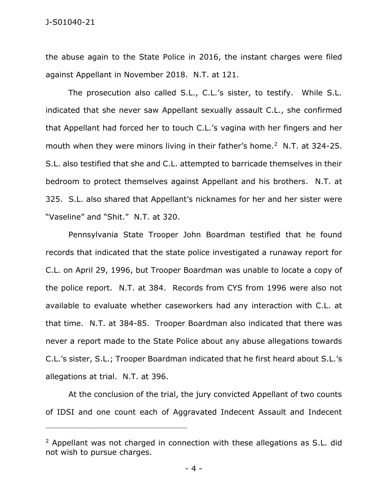the abuse again to the State Police in 2016, the instant charges were filed against Appellant in November 2018. N.T. at 121.

The prosecution also called S.L., C.L.'s sister, to testify. While S.L. indicated that she never saw Appellant sexually assault C.L., she confirmed that Appellant had forced her to touch C.L.'s vagina with her fingers and her mouth when they were minors living in their father's home.<sup>2</sup> N.T. at 324-25. S.L. also testified that she and C.L. attempted to barricade themselves in their bedroom to protect themselves against Appellant and his brothers. N.T. at 325. S.L. also shared that Appellant's nicknames for her and her sister were "Vaseline" and "Shit." N.T. at 320.

Pennsylvania State Trooper John Boardman testified that he found records that indicated that the state police investigated a runaway report for C.L. on April 29, 1996, but Trooper Boardman was unable to locate a copy of the police report. N.T. at 384. Records from CYS from 1996 were also not available to evaluate whether caseworkers had any interaction with C.L. at that time. N.T. at 384-85. Trooper Boardman also indicated that there was never a report made to the State Police about any abuse allegations towards C.L.'s sister, S.L.; Trooper Boardman indicated that he first heard about S.L.'s allegations at trial. N.T. at 396.

At the conclusion of the trial, the jury convicted Appellant of two counts of IDSI and one count each of Aggravated Indecent Assault and Indecent

 $2$  Appellant was not charged in connection with these allegations as S.L. did not wish to pursue charges.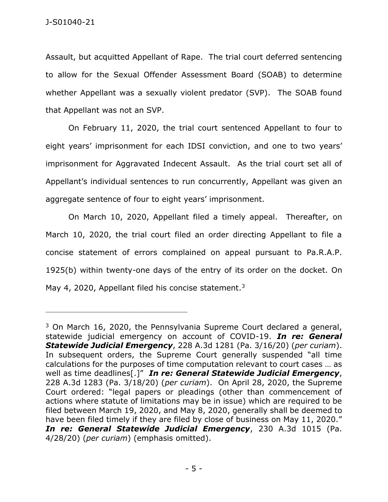Assault, but acquitted Appellant of Rape. The trial court deferred sentencing to allow for the Sexual Offender Assessment Board (SOAB) to determine whether Appellant was a sexually violent predator (SVP). The SOAB found that Appellant was not an SVP.

On February 11, 2020, the trial court sentenced Appellant to four to eight years' imprisonment for each IDSI conviction, and one to two years' imprisonment for Aggravated Indecent Assault. As the trial court set all of Appellant's individual sentences to run concurrently, Appellant was given an aggregate sentence of four to eight years' imprisonment.

On March 10, 2020, Appellant filed a timely appeal. Thereafter, on March 10, 2020, the trial court filed an order directing Appellant to file a concise statement of errors complained on appeal pursuant to Pa.R.A.P. 1925(b) within twenty-one days of the entry of its order on the docket. On May 4, 2020, Appellant filed his concise statement.<sup>3</sup>

 $3$  On March 16, 2020, the Pennsylvania Supreme Court declared a general, statewide judicial emergency on account of COVID-19. *In re: General Statewide Judicial Emergency*, 228 A.3d 1281 (Pa. 3/16/20) (*per curiam*). In subsequent orders, the Supreme Court generally suspended "all time calculations for the purposes of time computation relevant to court cases … as well as time deadlines[.]" *In re: General Statewide Judicial Emergency*, 228 A.3d 1283 (Pa. 3/18/20) (*per curiam*). On April 28, 2020, the Supreme Court ordered: "legal papers or pleadings (other than commencement of actions where statute of limitations may be in issue) which are required to be filed between March 19, 2020, and May 8, 2020, generally shall be deemed to have been filed timely if they are filed by close of business on May 11, 2020." *In re: General Statewide Judicial Emergency*, 230 A.3d 1015 (Pa. 4/28/20) (*per curiam*) (emphasis omitted).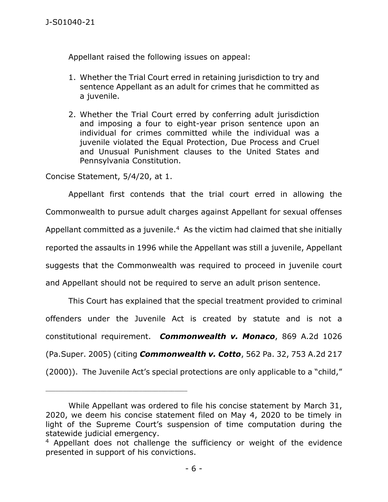Appellant raised the following issues on appeal:

- 1. Whether the Trial Court erred in retaining jurisdiction to try and sentence Appellant as an adult for crimes that he committed as a juvenile.
- 2. Whether the Trial Court erred by conferring adult jurisdiction and imposing a four to eight-year prison sentence upon an individual for crimes committed while the individual was a juvenile violated the Equal Protection, Due Process and Cruel and Unusual Punishment clauses to the United States and Pennsylvania Constitution.

Concise Statement, 5/4/20, at 1.

Appellant first contends that the trial court erred in allowing the Commonwealth to pursue adult charges against Appellant for sexual offenses Appellant committed as a juvenile. $4$  As the victim had claimed that she initially reported the assaults in 1996 while the Appellant was still a juvenile, Appellant suggests that the Commonwealth was required to proceed in juvenile court and Appellant should not be required to serve an adult prison sentence.

This Court has explained that the special treatment provided to criminal offenders under the Juvenile Act is created by statute and is not a constitutional requirement. *Commonwealth v. Monaco*, 869 A.2d 1026 (Pa.Super. 2005) (citing *Commonwealth v. Cotto*, 562 Pa. 32, 753 A.2d 217 (2000)). The Juvenile Act's special protections are only applicable to a "child,"

While Appellant was ordered to file his concise statement by March 31, 2020, we deem his concise statement filed on May 4, 2020 to be timely in light of the Supreme Court's suspension of time computation during the statewide judicial emergency.

<sup>&</sup>lt;sup>4</sup> Appellant does not challenge the sufficiency or weight of the evidence presented in support of his convictions.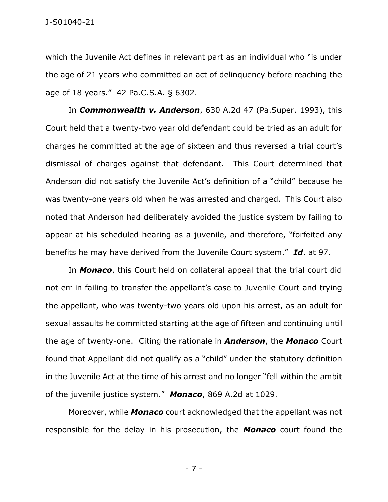which the Juvenile Act defines in relevant part as an individual who "is under the age of 21 years who committed an act of delinquency before reaching the age of 18 years." 42 Pa.C.S.A. § 6302.

In *Commonwealth v. Anderson*, 630 A.2d 47 (Pa.Super. 1993), this Court held that a twenty-two year old defendant could be tried as an adult for charges he committed at the age of sixteen and thus reversed a trial court's dismissal of charges against that defendant. This Court determined that Anderson did not satisfy the Juvenile Act's definition of a "child" because he was twenty-one years old when he was arrested and charged. This Court also noted that Anderson had deliberately avoided the justice system by failing to appear at his scheduled hearing as a juvenile, and therefore, "forfeited any benefits he may have derived from the Juvenile Court system." *Id*. at 97.

In *Monaco*, this Court held on collateral appeal that the trial court did not err in failing to transfer the appellant's case to Juvenile Court and trying the appellant, who was twenty-two years old upon his arrest, as an adult for sexual assaults he committed starting at the age of fifteen and continuing until the age of twenty-one. Citing the rationale in *Anderson*, the *Monaco* Court found that Appellant did not qualify as a "child" under the statutory definition in the Juvenile Act at the time of his arrest and no longer "fell within the ambit of the juvenile justice system." *Monaco*, 869 A.2d at 1029.

Moreover, while *Monaco* court acknowledged that the appellant was not responsible for the delay in his prosecution, the *Monaco* court found the

- 7 -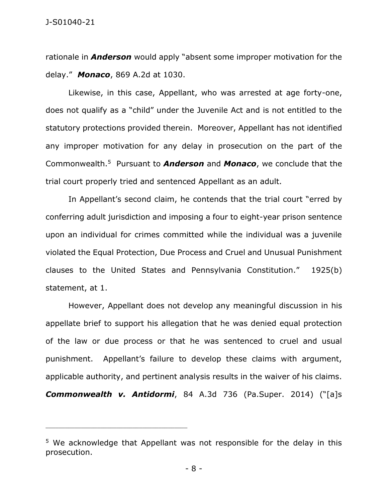rationale in *Anderson* would apply "absent some improper motivation for the delay." *Monaco*, 869 A.2d at 1030.

Likewise, in this case, Appellant, who was arrested at age forty-one, does not qualify as a "child" under the Juvenile Act and is not entitled to the statutory protections provided therein. Moreover, Appellant has not identified any improper motivation for any delay in prosecution on the part of the Commonwealth.<sup>5</sup> Pursuant to *Anderson* and *Monaco*, we conclude that the trial court properly tried and sentenced Appellant as an adult.

In Appellant's second claim, he contends that the trial court "erred by conferring adult jurisdiction and imposing a four to eight-year prison sentence upon an individual for crimes committed while the individual was a juvenile violated the Equal Protection, Due Process and Cruel and Unusual Punishment clauses to the United States and Pennsylvania Constitution." 1925(b) statement, at 1.

However, Appellant does not develop any meaningful discussion in his appellate brief to support his allegation that he was denied equal protection of the law or due process or that he was sentenced to cruel and usual punishment. Appellant's failure to develop these claims with argument, applicable authority, and pertinent analysis results in the waiver of his claims. *Commonwealth v. Antidormi*, 84 A.3d 736 (Pa.Super. 2014) ("[a]s

<sup>&</sup>lt;sup>5</sup> We acknowledge that Appellant was not responsible for the delay in this prosecution.